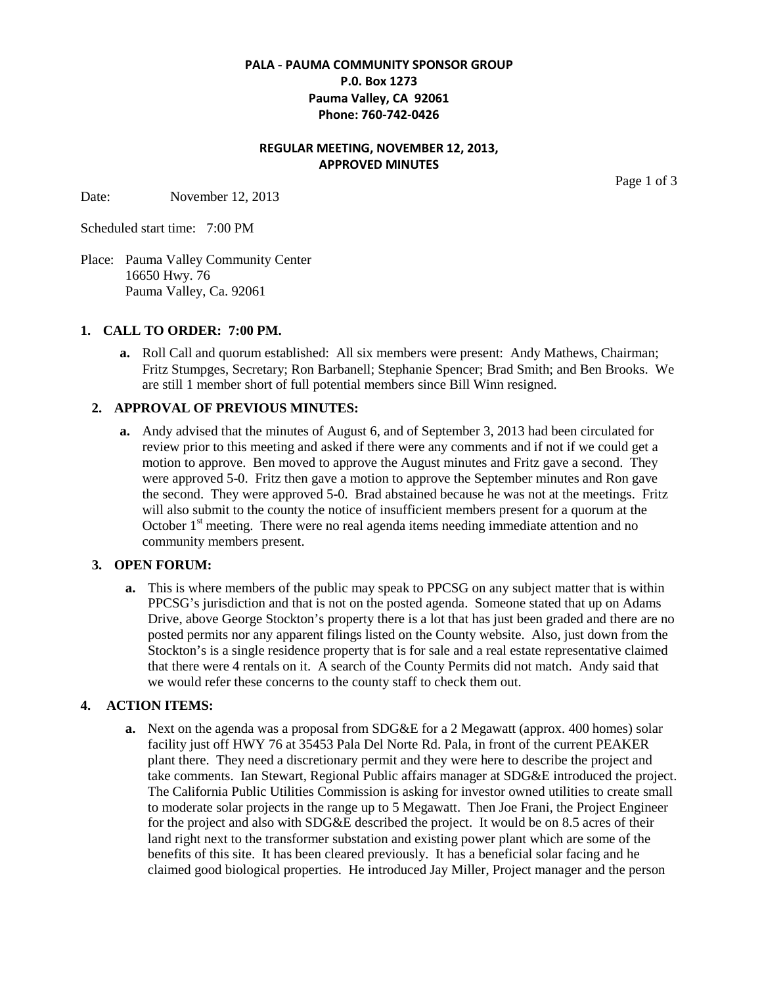### **PALA - PAUMA COMMUNITY SPONSOR GROUP P.0. Box 1273 Pauma Valley, CA 92061 Phone: 760-742-0426**

# **REGULAR MEETING, NOVEMBER 12, 2013, APPROVED MINUTES**

Date: November 12, 2013

Page 1 of 3

Scheduled start time: 7:00 PM

Place: Pauma Valley Community Center 16650 Hwy. 76 Pauma Valley, Ca. 92061

#### **1. CALL TO ORDER: 7:00 PM.**

**a.** Roll Call and quorum established: All six members were present: Andy Mathews, Chairman; Fritz Stumpges, Secretary; Ron Barbanell; Stephanie Spencer; Brad Smith; and Ben Brooks. We are still 1 member short of full potential members since Bill Winn resigned.

### **2. APPROVAL OF PREVIOUS MINUTES:**

**a.** Andy advised that the minutes of August 6, and of September 3, 2013 had been circulated for review prior to this meeting and asked if there were any comments and if not if we could get a motion to approve. Ben moved to approve the August minutes and Fritz gave a second. They were approved 5-0. Fritz then gave a motion to approve the September minutes and Ron gave the second. They were approved 5-0. Brad abstained because he was not at the meetings. Fritz will also submit to the county the notice of insufficient members present for a quorum at the October  $1<sup>st</sup>$  meeting. There were no real agenda items needing immediate attention and no community members present.

#### **3. OPEN FORUM:**

**a.** This is where members of the public may speak to PPCSG on any subject matter that is within PPCSG's jurisdiction and that is not on the posted agenda. Someone stated that up on Adams Drive, above George Stockton's property there is a lot that has just been graded and there are no posted permits nor any apparent filings listed on the County website. Also, just down from the Stockton's is a single residence property that is for sale and a real estate representative claimed that there were 4 rentals on it. A search of the County Permits did not match. Andy said that we would refer these concerns to the county staff to check them out.

# **4. ACTION ITEMS:**

**a.** Next on the agenda was a proposal from SDG&E for a 2 Megawatt (approx. 400 homes) solar facility just off HWY 76 at 35453 Pala Del Norte Rd. Pala, in front of the current PEAKER plant there. They need a discretionary permit and they were here to describe the project and take comments. Ian Stewart, Regional Public affairs manager at SDG&E introduced the project. The California Public Utilities Commission is asking for investor owned utilities to create small to moderate solar projects in the range up to 5 Megawatt. Then Joe Frani, the Project Engineer for the project and also with SDG&E described the project. It would be on 8.5 acres of their land right next to the transformer substation and existing power plant which are some of the benefits of this site. It has been cleared previously. It has a beneficial solar facing and he claimed good biological properties. He introduced Jay Miller, Project manager and the person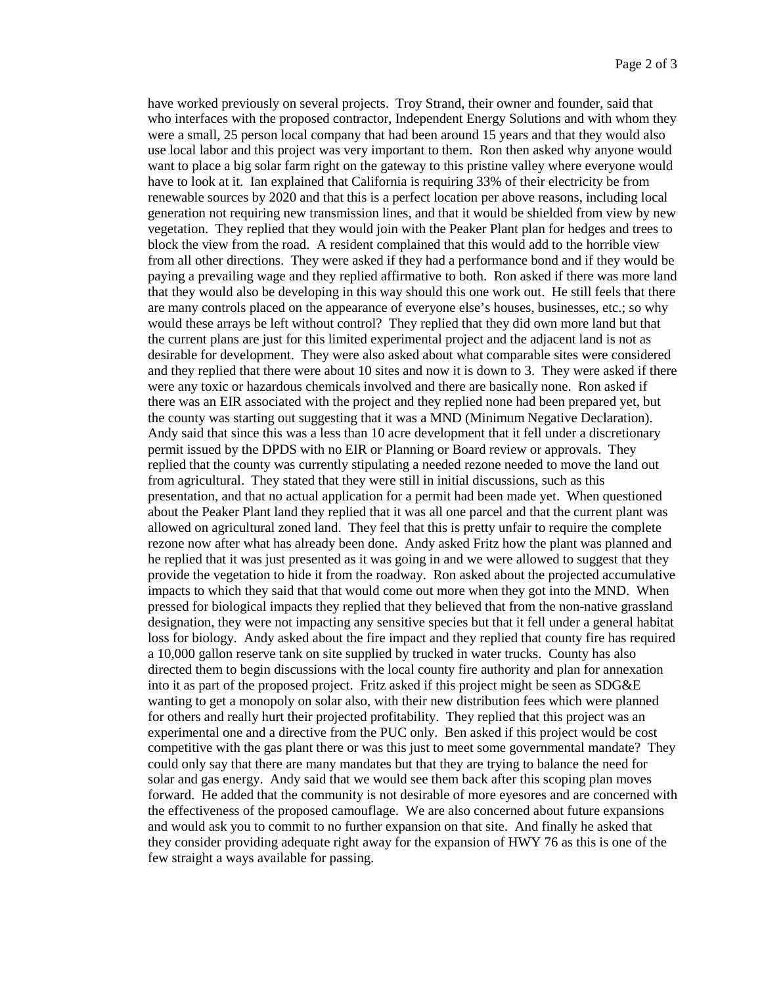have worked previously on several projects. Troy Strand, their owner and founder, said that who interfaces with the proposed contractor, Independent Energy Solutions and with whom they were a small, 25 person local company that had been around 15 years and that they would also use local labor and this project was very important to them. Ron then asked why anyone would want to place a big solar farm right on the gateway to this pristine valley where everyone would have to look at it. Ian explained that California is requiring 33% of their electricity be from renewable sources by 2020 and that this is a perfect location per above reasons, including local generation not requiring new transmission lines, and that it would be shielded from view by new vegetation. They replied that they would join with the Peaker Plant plan for hedges and trees to block the view from the road. A resident complained that this would add to the horrible view from all other directions. They were asked if they had a performance bond and if they would be paying a prevailing wage and they replied affirmative to both. Ron asked if there was more land that they would also be developing in this way should this one work out. He still feels that there are many controls placed on the appearance of everyone else's houses, businesses, etc.; so why would these arrays be left without control? They replied that they did own more land but that the current plans are just for this limited experimental project and the adjacent land is not as desirable for development. They were also asked about what comparable sites were considered and they replied that there were about 10 sites and now it is down to 3. They were asked if there were any toxic or hazardous chemicals involved and there are basically none. Ron asked if there was an EIR associated with the project and they replied none had been prepared yet, but the county was starting out suggesting that it was a MND (Minimum Negative Declaration). Andy said that since this was a less than 10 acre development that it fell under a discretionary permit issued by the DPDS with no EIR or Planning or Board review or approvals. They replied that the county was currently stipulating a needed rezone needed to move the land out from agricultural. They stated that they were still in initial discussions, such as this presentation, and that no actual application for a permit had been made yet. When questioned about the Peaker Plant land they replied that it was all one parcel and that the current plant was allowed on agricultural zoned land. They feel that this is pretty unfair to require the complete rezone now after what has already been done. Andy asked Fritz how the plant was planned and he replied that it was just presented as it was going in and we were allowed to suggest that they provide the vegetation to hide it from the roadway. Ron asked about the projected accumulative impacts to which they said that that would come out more when they got into the MND. When pressed for biological impacts they replied that they believed that from the non-native grassland designation, they were not impacting any sensitive species but that it fell under a general habitat loss for biology. Andy asked about the fire impact and they replied that county fire has required a 10,000 gallon reserve tank on site supplied by trucked in water trucks. County has also directed them to begin discussions with the local county fire authority and plan for annexation into it as part of the proposed project. Fritz asked if this project might be seen as SDG&E wanting to get a monopoly on solar also, with their new distribution fees which were planned for others and really hurt their projected profitability. They replied that this project was an experimental one and a directive from the PUC only. Ben asked if this project would be cost competitive with the gas plant there or was this just to meet some governmental mandate? They could only say that there are many mandates but that they are trying to balance the need for solar and gas energy. Andy said that we would see them back after this scoping plan moves forward. He added that the community is not desirable of more eyesores and are concerned with the effectiveness of the proposed camouflage. We are also concerned about future expansions and would ask you to commit to no further expansion on that site. And finally he asked that they consider providing adequate right away for the expansion of HWY 76 as this is one of the few straight a ways available for passing.